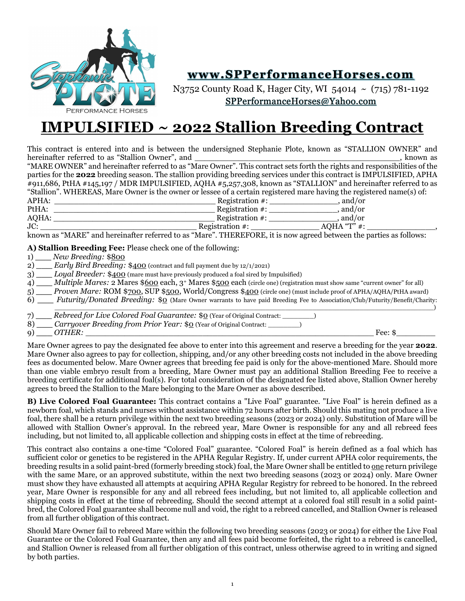

## **www.SPPerformanceHorses.com**

N3752 County Road K, Hager City, WI 54014 ~ (715) 781-1192 [SPPerformanceHorses@Yahoo.com](mailto:SPPerformanceHorses@Yahoo.com)

# **IMPULSIFIED ~ 2022 Stallion Breeding Contract**

This contract is entered into and is between the undersigned Stephanie Plote, known as "STALLION OWNER" and hereinafter referred to as "Stallion Owner", and \_\_\_\_\_\_\_\_\_\_\_\_\_\_\_\_\_\_\_\_\_\_\_\_\_\_\_\_\_\_\_\_\_\_\_\_\_\_\_\_\_\_, known as "MARE OWNER" and hereinafter referred to as "Mare Owner". This contract sets forth the rights and responsibilities of the parties for the **2022** breeding season. The stallion providing breeding services under this contract is IMPULSIFIED, APHA #911,686, PtHA #145,197 / MDR IMPULSIFIED, AQHA #5,257,308, known as "STALLION" and hereinafter referred to as "Stallion". WHEREAS, Mare Owner is the owner or lessee of a certain registered mare having the registered name(s) of: APHA: \_\_\_\_\_\_\_\_\_\_\_\_\_\_\_\_\_\_\_\_\_\_\_\_\_\_\_\_\_\_\_\_\_ Registration #: \_\_\_\_\_\_\_\_\_\_\_\_\_\_, and/or PtHA: \_\_\_\_\_\_\_\_\_\_\_\_\_\_\_\_\_\_\_\_\_\_\_\_\_\_\_\_\_\_\_\_\_ Registration #: \_\_\_\_\_\_\_\_\_\_\_\_\_\_, and/or AQHA: \_\_\_\_\_\_\_\_\_\_\_\_\_\_\_\_\_\_\_\_\_\_\_\_\_\_\_\_\_\_\_\_\_ Registration #: \_\_\_\_\_\_\_\_\_\_\_\_\_\_, and/or JC: \_\_\_\_\_\_\_\_\_\_\_\_\_\_\_\_\_\_\_\_\_\_\_\_\_\_\_\_\_\_\_\_ Registration #: \_\_\_\_\_\_\_\_\_\_\_\_\_\_ AQHA "T" #: \_\_\_\_\_\_\_\_\_\_\_\_\_\_,

known as "MARE" and hereinafter referred to as "Mare". THEREFORE, it is now agreed between the parties as follows:

**A) Stallion Breeding Fee:** Please check one of the following:

1) **\_\_\_** *New Breeding:* \$800

2) **\_\_\_** *Early Bird Breeding:* \$400 (contract and full payment due by 12/1/2021)

3) **\_\_\_** *Loyal Breeder:* \$400 (mare must have previously produced a foal sired by Impulsified)

4) **\_\_\_** *Multiple Mares:* 2 Mares \$600 each, 3+ Mares \$500 each (circle one) (registration must show same "current owner" for all)

5) **\_\_\_** *Proven Mare:* ROM \$700, SUP \$500, World/Congress \$400 (circle one) (must include proof of APHA/AQHA/PtHA award)

6) **\_\_\_** *Futurity/Donated Breeding:* \$0 (Mare Owner warrants to have paid Breeding Fee to Association/Club/Futurity/Benefit/Charity:

\_\_\_\_\_\_\_\_\_\_\_\_\_\_\_\_\_\_\_\_\_\_\_\_\_\_\_\_\_\_\_\_\_\_\_\_\_\_\_\_\_\_\_\_\_\_\_\_\_\_\_\_\_\_\_\_\_\_\_\_\_\_\_\_\_\_\_\_\_\_\_\_\_\_\_\_\_\_\_\_\_\_\_\_\_\_\_\_\_\_\_\_\_\_\_\_\_) 7) **\_\_\_** *Rebreed for Live Colored Foal Guarantee:* \$0 (Year of Original Contract: \_\_\_\_\_\_\_\_) 9) **\_\_\_** *OTHER:* \_\_\_\_\_\_\_\_\_\_\_\_\_\_\_\_\_\_\_\_\_\_\_\_\_\_\_\_\_\_\_\_\_\_\_\_\_\_\_\_\_\_\_\_\_\_\_\_\_\_\_\_\_\_\_\_\_\_\_ Fee: \$\_\_\_\_\_\_\_\_

8) **\_\_\_** *Carryover Breeding from Prior Year:* \$0 (Year of Original Contract: \_\_\_\_\_\_\_\_)

Mare Owner agrees to pay the designated fee above to enter into this agreement and reserve a breeding for the year **2022**. Mare Owner also agrees to pay for collection, shipping, and/or any other breeding costs not included in the above breeding fees as documented below. Mare Owner agrees that breeding fee paid is only for the above-mentioned Mare. Should more than one viable embryo result from a breeding, Mare Owner must pay an additional Stallion Breeding Fee to receive a breeding certificate for additional foal(s). For total consideration of the designated fee listed above, Stallion Owner hereby agrees to breed the Stallion to the Mare belonging to the Mare Owner as above described.

**B) Live Colored Foal Guarantee:** This contract contains a "Live Foal" guarantee. "Live Foal" is herein defined as a newborn foal, which stands and nurses without assistance within 72 hours after birth. Should this mating not produce a live foal, there shall be a return privilege within the next two breeding seasons (2023 or 2024) only. Substitution of Mare will be allowed with Stallion Owner's approval. In the rebreed year, Mare Owner is responsible for any and all rebreed fees including, but not limited to, all applicable collection and shipping costs in effect at the time of rebreeding.

This contract also contains a one-time "Colored Foal" guarantee. "Colored Foal" is herein defined as a foal which has sufficient color or genetics to be registered in the APHA Regular Registry. If, under current APHA color requirements, the breeding results in a solid paint-bred (formerly breeding stock) foal, the Mare Owner shall be entitled to one return privilege with the same Mare, or an approved substitute, within the next two breeding seasons (2023 or 2024) only. Mare Owner must show they have exhausted all attempts at acquiring APHA Regular Registry for rebreed to be honored. In the rebreed year, Mare Owner is responsible for any and all rebreed fees including, but not limited to, all applicable collection and shipping costs in effect at the time of rebreeding. Should the second attempt at a colored foal still result in a solid paintbred, the Colored Foal guarantee shall become null and void, the right to a rebreed cancelled, and Stallion Owner is released from all further obligation of this contract.

Should Mare Owner fail to rebreed Mare within the following two breeding seasons (2023 or 2024) for either the Live Foal Guarantee or the Colored Foal Guarantee, then any and all fees paid become forfeited, the right to a rebreed is cancelled, and Stallion Owner is released from all further obligation of this contract, unless otherwise agreed to in writing and signed by both parties.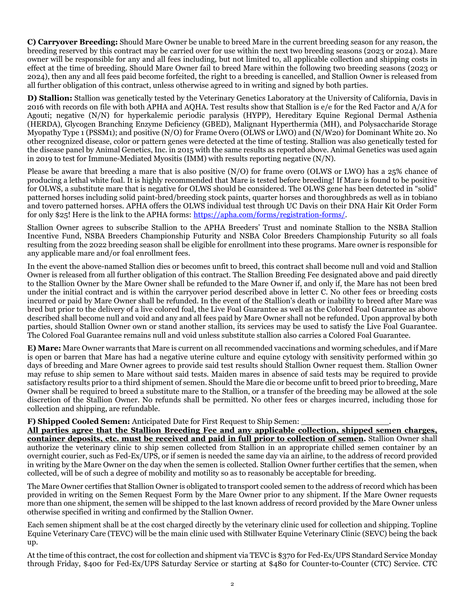**C) Carryover Breeding:** Should Mare Owner be unable to breed Mare in the current breeding season for any reason, the breeding reserved by this contract may be carried over for use within the next two breeding seasons (2023 or 2024). Mare owner will be responsible for any and all fees including, but not limited to, all applicable collection and shipping costs in effect at the time of breeding. Should Mare Owner fail to breed Mare within the following two breeding seasons (2023 or 2024), then any and all fees paid become forfeited, the right to a breeding is cancelled, and Stallion Owner is released from all further obligation of this contract, unless otherwise agreed to in writing and signed by both parties.

**D) Stallion:** Stallion was genetically tested by the Veterinary Genetics Laboratory at the University of California, Davis in 2016 with records on file with both APHA and AQHA. Test results show that Stallion is e/e for the Red Factor and A/A for Agouti; negative (N/N) for hyperkalemic periodic paralysis (HYPP), Hereditary Equine Regional Dermal Asthenia (HERDA), Glycogen Branching Enzyme Deficiency (GBED), Malignant Hyperthermia (MH), and Polysaccharide Storage Myopathy Type 1 (PSSM1); and positive (N/O) for Frame Overo (OLWS or LWO) and (N/W20) for Dominant White 20. No other recognized disease, color or pattern genes were detected at the time of testing. Stallion was also genetically tested for the disease panel by Animal Genetics, Inc. in 2015 with the same results as reported above. Animal Genetics was used again in 2019 to test for Immune-Mediated Myositis (IMM) with results reporting negative (N/N).

Please be aware that breeding a mare that is also positive  $(N/O)$  for frame overo (OLWS or LWO) has a 25% chance of producing a lethal white foal. It is highly recommended that Mare is tested before breeding! If Mare is found to be positive for OLWS, a substitute mare that is negative for OLWS should be considered. The OLWS gene has been detected in "solid" patterned horses including solid paint-bred/breeding stock paints, quarter horses and thoroughbreds as well as in tobiano and tovero patterned horses. APHA offers the OLWS individual test through UC Davis on their DNA Hair Kit Order Form for only \$25! Here is the link to the APHA forms: [https://apha.com/forms/registration-forms/.](https://apha.com/forms/registration-forms/)

Stallion Owner agrees to subscribe Stallion to the APHA Breeders' Trust and nominate Stallion to the NSBA Stallion Incentive Fund, NSBA Breeders Championship Futurity and NSBA Color Breeders Championship Futurity so all foals resulting from the 2022 breeding season shall be eligible for enrollment into these programs. Mare owner is responsible for any applicable mare and/or foal enrollment fees.

In the event the above-named Stallion dies or becomes unfit to breed, this contract shall become null and void and Stallion Owner is released from all further obligation of this contract. The Stallion Breeding Fee designated above and paid directly to the Stallion Owner by the Mare Owner shall be refunded to the Mare Owner if, and only if, the Mare has not been bred under the initial contract and is within the carryover period described above in letter C. No other fees or breeding costs incurred or paid by Mare Owner shall be refunded. In the event of the Stallion's death or inability to breed after Mare was bred but prior to the delivery of a live colored foal, the Live Foal Guarantee as well as the Colored Foal Guarantee as above described shall become null and void and any and all fees paid by Mare Owner shall not be refunded. Upon approval by both parties, should Stallion Owner own or stand another stallion, its services may be used to satisfy the Live Foal Guarantee. The Colored Foal Guarantee remains null and void unless substitute stallion also carries a Colored Foal Guarantee.

**E) Mare:** Mare Owner warrants that Mare is current on all recommended vaccinations and worming schedules, and if Mare is open or barren that Mare has had a negative uterine culture and equine cytology with sensitivity performed within 30 days of breeding and Mare Owner agrees to provide said test results should Stallion Owner request them. Stallion Owner may refuse to ship semen to Mare without said tests. Maiden mares in absence of said tests may be required to provide satisfactory results prior to a third shipment of semen. Should the Mare die or become unfit to breed prior to breeding, Mare Owner shall be required to breed a substitute mare to the Stallion, or a transfer of the breeding may be allowed at the sole discretion of the Stallion Owner. No refunds shall be permitted. No other fees or charges incurred, including those for collection and shipping, are refundable.

**F) Shipped Cooled Semen:** Anticipated Date for First Request to Ship Semen:

**All parties agree that the Stallion Breeding Fee and any applicable collection, shipped semen charges, container deposits, etc. must be received and paid in full prior to collection of semen.** Stallion Owner shall authorize the veterinary clinic to ship semen collected from Stallion in an appropriate chilled semen container by an overnight courier, such as Fed-Ex/UPS, or if semen is needed the same day via an airline, to the address of record provided in writing by the Mare Owner on the day when the semen is collected. Stallion Owner further certifies that the semen, when collected, will be of such a degree of mobility and motility so as to reasonably be acceptable for breeding.

The Mare Owner certifies that Stallion Owner is obligated to transport cooled semen to the address of record which has been provided in writing on the Semen Request Form by the Mare Owner prior to any shipment. If the Mare Owner requests more than one shipment, the semen will be shipped to the last known address of record provided by the Mare Owner unless otherwise specified in writing and confirmed by the Stallion Owner.

Each semen shipment shall be at the cost charged directly by the veterinary clinic used for collection and shipping. Topline Equine Veterinary Care (TEVC) will be the main clinic used with Stillwater Equine Veterinary Clinic (SEVC) being the back up.

At the time of this contract, the cost for collection and shipment via TEVC is \$370 for Fed-Ex/UPS Standard Service Monday through Friday, \$400 for Fed-Ex/UPS Saturday Service or starting at \$480 for Counter-to-Counter (CTC) Service. CTC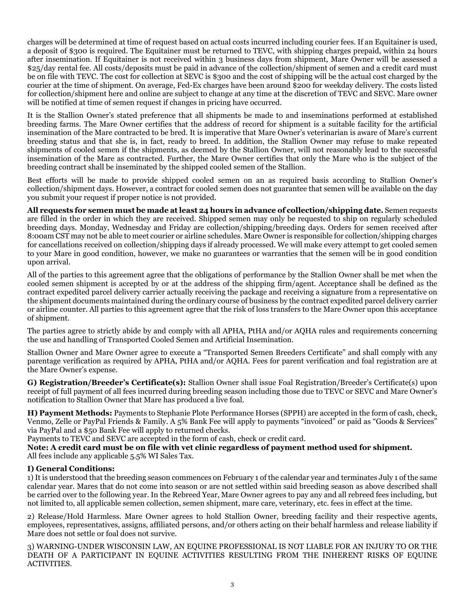charges will be determined at time of request based on actual costs incurred including courier fees. If an Equitainer is used, a deposit of \$300 is required. The Equitainer must be returned to TEVC, with shipping charges prepaid, within 24 hours after insemination. If Equitainer is not received within 3 business days from shipment, Mare Owner will be assessed a \$25/day rental fee. All costs/deposits must be paid in advance of the collection/shipment of semen and a credit card must be on file with TEVC. The cost for collection at SEVC is \$300 and the cost of shipping will be the actual cost charged by the courier at the time of shipment. On average, Fed-Ex charges have been around \$200 for weekday delivery. The costs listed for collection/shipment here and online are subject to change at any time at the discretion of TEVC and SEVC. Mare owner will be notified at time of semen request if changes in pricing have occurred.

It is the Stallion Owner's stated preference that all shipments be made to and inseminations performed at established breeding farms. The Mare Owner certifies that the address of record for shipment is a suitable facility for the artificial insemination of the Mare contracted to be bred. It is imperative that Mare Owner's veterinarian is aware of Mare's current breeding status and that she is, in fact, ready to breed. In addition, the Stallion Owner may refuse to make repeated shipments of cooled semen if the shipments, as deemed by the Stallion Owner, will not reasonably lead to the successful insemination of the Mare as contracted. Further, the Mare Owner certifies that only the Mare who is the subject of the breeding contract shall be inseminated by the shipped cooled semen of the Stallion.

Best efforts will be made to provide shipped cooled semen on an as required basis according to Stallion Owner's collection/shipment days. However, a contract for cooled semen does not guarantee that semen will be available on the day you submit your request if proper notice is not provided.

**All requests for semen must be made at least 24 hours in advance of collection/shipping date.** Semen requests are filled in the order in which they are received. Shipped semen may only be requested to ship on regularly scheduled breeding days. Monday, Wednesday and Friday are collection/shipping/breeding days. Orders for semen received after 8:00am CST may not be able to meet courier or airline schedules. Mare Owner is responsible for collection/shipping charges for cancellations received on collection/shipping days if already processed. We will make every attempt to get cooled semen to your Mare in good condition, however, we make no guarantees or warranties that the semen will be in good condition upon arrival.

All of the parties to this agreement agree that the obligations of performance by the Stallion Owner shall be met when the cooled semen shipment is accepted by or at the address of the shipping firm/agent. Acceptance shall be defined as the contract expedited parcel delivery carrier actually receiving the package and receiving a signature from a representative on the shipment documents maintained during the ordinary course of business by the contract expedited parcel delivery carrier or airline counter. All parties to this agreement agree that the risk of loss transfers to the Mare Owner upon this acceptance of shipment.

The parties agree to strictly abide by and comply with all APHA, PtHA and/or AQHA rules and requirements concerning the use and handling of Transported Cooled Semen and Artificial Insemination.

Stallion Owner and Mare Owner agree to execute a "Transported Semen Breeders Certificate" and shall comply with any parentage verification as required by APHA, PtHA and/or AQHA. Fees for parent verification and foal registration are at the Mare Owner's expense.

**G) Registration/Breeder's Certificate(s):** Stallion Owner shall issue Foal Registration/Breeder's Certificate(s) upon receipt of full payment of all fees incurred during breeding season including those due to TEVC or SEVC and Mare Owner's notification to Stallion Owner that Mare has produced a live foal.

**H) Payment Methods:** Payments to Stephanie Plote Performance Horses (SPPH) are accepted in the form of cash, check, Venmo, Zelle or PayPal Friends & Family. A 5% Bank Fee will apply to payments "invoiced" or paid as "Goods & Services" via PayPal and a \$50 Bank Fee will apply to returned checks.

Payments to TEVC and SEVC are accepted in the form of cash, check or credit card.

**Note: A credit card must be on file with vet clinic regardless of payment method used for shipment.** All fees include any applicable 5.5% WI Sales Tax.

### **I) General Conditions:**

1) It is understood that the breeding season commences on February 1 of the calendar year and terminates July 1 of the same calendar year. Mares that do not come into season or are not settled within said breeding season as above described shall be carried over to the following year. In the Rebreed Year, Mare Owner agrees to pay any and all rebreed fees including, but not limited to, all applicable semen collection, semen shipment, mare care, veterinary, etc. fees in effect at the time.

2) Release/Hold Harmless. Mare Owner agrees to hold Stallion Owner, breeding facility and their respective agents, employees, representatives, assigns, affiliated persons, and/or others acting on their behalf harmless and release liability if Mare does not settle or foal does not survive.

3) WARNING-UNDER WISCONSIN LAW, AN EQUINE PROFESSIONAL IS NOT LIABLE FOR AN INJURY TO OR THE DEATH OF A PARTICIPANT IN EQUINE ACTIVITIES RESULTING FROM THE INHERENT RISKS OF EQUINE ACTIVITIES.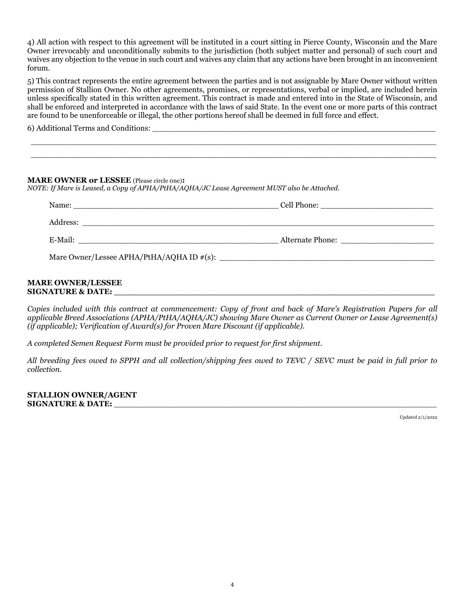4) All action with respect to this agreement will be instituted in a court sitting in Pierce County, Wisconsin and the Mare Owner irrevocably and unconditionally submits to the jurisdiction (both subject matter and personal) of such court and waives any objection to the venue in such court and waives any claim that any actions have been brought in an inconvenient forum.

5) This contract represents the entire agreement between the parties and is not assignable by Mare Owner without written permission of Stallion Owner. No other agreements, promises, or representations, verbal or implied, are included herein unless specifically stated in this written agreement. This contract is made and entered into in the State of Wisconsin, and shall be enforced and interpreted in accordance with the laws of said State. In the event one or more parts of this contract are found to be unenforceable or illegal, the other portions hereof shall be deemed in full force and effect.

 \_\_\_\_\_\_\_\_\_\_\_\_\_\_\_\_\_\_\_\_\_\_\_\_\_\_\_\_\_\_\_\_\_\_\_\_\_\_\_\_\_\_\_\_\_\_\_\_\_\_\_\_\_\_\_\_\_\_\_\_\_\_\_\_\_\_\_\_\_\_\_\_\_\_\_\_\_\_\_\_\_\_\_ \_\_\_\_\_\_\_\_\_\_\_\_\_\_\_\_\_\_\_\_\_\_\_\_\_\_\_\_\_\_\_\_\_\_\_\_\_\_\_\_\_\_\_\_\_\_\_\_\_\_\_\_\_\_\_\_\_\_\_\_\_\_\_\_\_\_\_\_\_\_\_\_\_\_\_\_\_\_\_\_\_\_\_

6) Additional Terms and Conditions: \_\_\_\_\_\_\_\_\_\_\_\_\_\_\_\_\_\_\_\_\_\_\_\_\_\_\_\_\_\_\_\_\_\_\_\_\_\_\_\_\_\_\_\_\_\_\_\_\_\_\_\_\_\_\_\_\_\_

#### **MARE OWNER/LESSEE SIGNATURE & DATE: \_\_\_\_\_\_\_\_\_\_\_\_\_\_\_\_\_\_\_\_\_\_\_\_\_\_\_\_\_\_\_\_\_\_\_\_\_\_\_\_\_\_\_\_\_\_\_\_\_\_\_\_\_\_\_\_\_\_\_\_**

*Copies included with this contract at commencement: Copy of front and back of Mare's Registration Papers for all applicable Breed Associations (APHA/PtHA/AQHA/JC) showing Mare Owner as Current Owner or Lease Agreement(s) (if applicable); Verification of Award(s) for Proven Mare Discount (if applicable).*

*A completed Semen Request Form must be provided prior to request for first shipment.*

*All breeding fees owed to SPPH and all collection/shipping fees owed to TEVC / SEVC must be paid in full prior to collection.*

**STALLION OWNER/AGENT SIGNATURE & DATE:** \_\_\_\_\_\_\_\_\_\_\_\_\_\_\_\_\_\_\_\_\_\_\_\_\_\_\_\_\_\_\_\_\_\_\_\_\_\_\_\_\_\_\_\_\_\_\_\_\_\_\_\_\_\_\_\_\_\_\_\_\_\_\_\_\_\_

Updated 2/1/2022